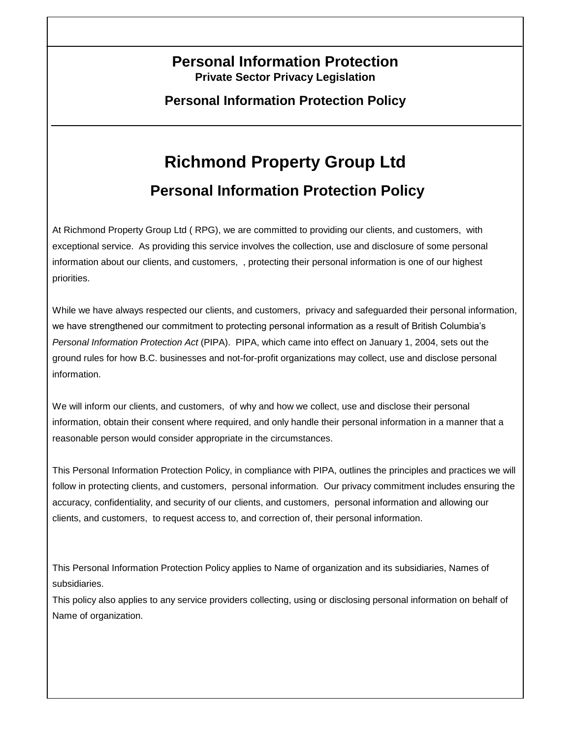# **Personal Information Protection Private Sector Privacy Legislation**

**Personal Information Protection Policy**

# **Richmond Property Group Ltd Personal Information Protection Policy**

At Richmond Property Group Ltd ( RPG), we are committed to providing our clients, and customers, with exceptional service. As providing this service involves the collection, use and disclosure of some personal information about our clients, and customers, , protecting their personal information is one of our highest priorities.

While we have always respected our clients, and customers, privacy and safeguarded their personal information, we have strengthened our commitment to protecting personal information as a result of British Columbia's *Personal Information Protection Act* (PIPA). PIPA, which came into effect on January 1, 2004, sets out the ground rules for how B.C. businesses and not-for-profit organizations may collect, use and disclose personal information.

We will inform our clients, and customers, of why and how we collect, use and disclose their personal information, obtain their consent where required, and only handle their personal information in a manner that a reasonable person would consider appropriate in the circumstances.

This Personal Information Protection Policy, in compliance with PIPA, outlines the principles and practices we will follow in protecting clients, and customers, personal information. Our privacy commitment includes ensuring the accuracy, confidentiality, and security of our clients, and customers, personal information and allowing our clients, and customers, to request access to, and correction of, their personal information.

This Personal Information Protection Policy applies to Name of organization and its subsidiaries, Names of subsidiaries.

This policy also applies to any service providers collecting, using or disclosing personal information on behalf of Name of organization.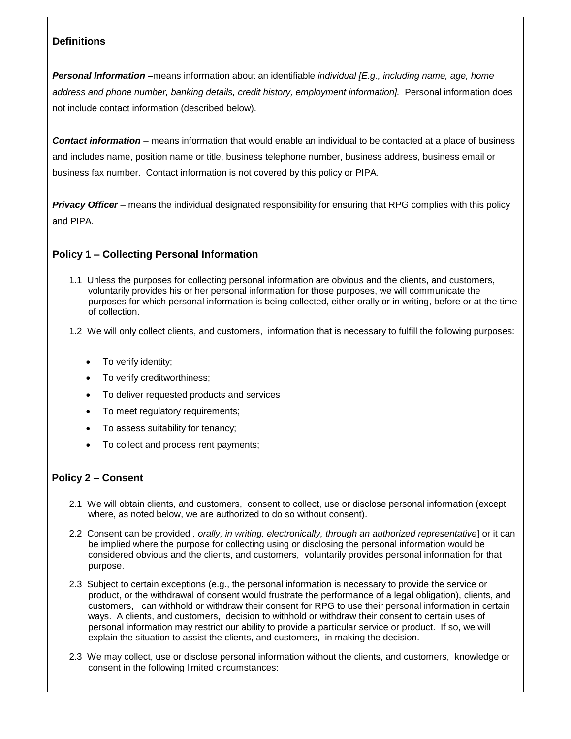### **Definitions**

*Personal Information –*means information about an identifiable *individual [E.g., including name, age, home address and phone number, banking details, credit history, employment information].* Personal information does not include contact information (described below).

*Contact information* – means information that would enable an individual to be contacted at a place of business and includes name, position name or title, business telephone number, business address, business email or business fax number. Contact information is not covered by this policy or PIPA.

*Privacy Officer* – means the individual designated responsibility for ensuring that RPG complies with this policy and PIPA.

#### **Policy 1 – Collecting Personal Information**

- 1.1 Unless the purposes for collecting personal information are obvious and the clients, and customers, voluntarily provides his or her personal information for those purposes, we will communicate the purposes for which personal information is being collected, either orally or in writing, before or at the time of collection.
- 1.2 We will only collect clients, and customers, information that is necessary to fulfill the following purposes:
	- To verify identity;
	- To verify creditworthiness;
	- To deliver requested products and services
	- To meet regulatory requirements;
	- To assess suitability for tenancy;
	- To collect and process rent payments;

#### **Policy 2 – Consent**

- 2.1 We will obtain clients, and customers, consent to collect, use or disclose personal information (except where, as noted below, we are authorized to do so without consent).
- 2.2 Consent can be provided *, orally, in writing, electronically, through an authorized representative*] or it can be implied where the purpose for collecting using or disclosing the personal information would be considered obvious and the clients, and customers, voluntarily provides personal information for that purpose.
- 2.3 Subject to certain exceptions (e.g., the personal information is necessary to provide the service or product, or the withdrawal of consent would frustrate the performance of a legal obligation), clients, and customers, can withhold or withdraw their consent for RPG to use their personal information in certain ways. A clients, and customers, decision to withhold or withdraw their consent to certain uses of personal information may restrict our ability to provide a particular service or product. If so, we will explain the situation to assist the clients, and customers, in making the decision.
- 2.3 We may collect, use or disclose personal information without the clients, and customers, knowledge or consent in the following limited circumstances: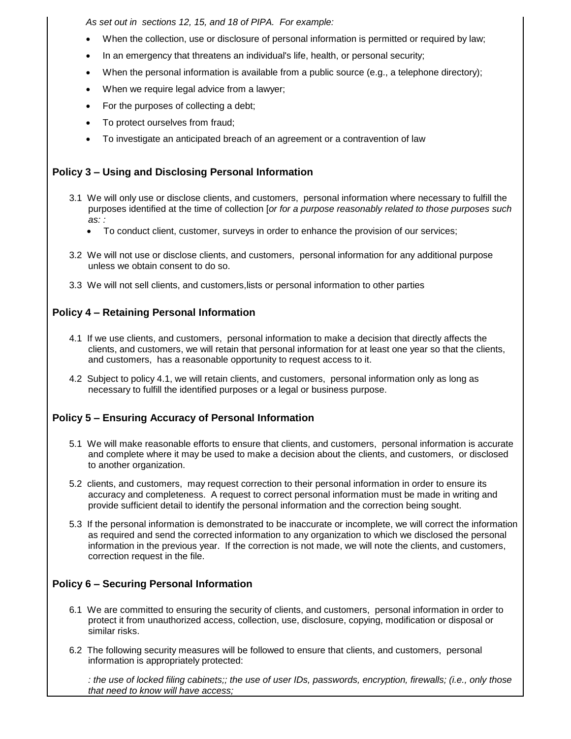*As set out in sections 12, 15, and 18 of PIPA. For example:*

- When the collection, use or disclosure of personal information is permitted or required by law;
- In an emergency that threatens an individual's life, health, or personal security;
- When the personal information is available from a public source (e.g., a telephone directory);
- When we require legal advice from a lawyer;
- For the purposes of collecting a debt;
- To protect ourselves from fraud;
- To investigate an anticipated breach of an agreement or a contravention of law

## **Policy 3 – Using and Disclosing Personal Information**

- 3.1 We will only use or disclose clients, and customers, personal information where necessary to fulfill the purposes identified at the time of collection [*or for a purpose reasonably related to those purposes such as: :*
	- To conduct client, customer, surveys in order to enhance the provision of our services;
- 3.2 We will not use or disclose clients, and customers, personal information for any additional purpose unless we obtain consent to do so.
- 3.3 We will not sell clients, and customers,lists or personal information to other parties

#### **Policy 4 – Retaining Personal Information**

- 4.1 If we use clients, and customers, personal information to make a decision that directly affects the clients, and customers, we will retain that personal information for at least one year so that the clients, and customers, has a reasonable opportunity to request access to it.
- 4.2 Subject to policy 4.1, we will retain clients, and customers, personal information only as long as necessary to fulfill the identified purposes or a legal or business purpose.

#### **Policy 5 – Ensuring Accuracy of Personal Information**

- 5.1 We will make reasonable efforts to ensure that clients, and customers, personal information is accurate and complete where it may be used to make a decision about the clients, and customers, or disclosed to another organization.
- 5.2 clients, and customers, may request correction to their personal information in order to ensure its accuracy and completeness. A request to correct personal information must be made in writing and provide sufficient detail to identify the personal information and the correction being sought.
- 5.3 If the personal information is demonstrated to be inaccurate or incomplete, we will correct the information as required and send the corrected information to any organization to which we disclosed the personal information in the previous year. If the correction is not made, we will note the clients, and customers, correction request in the file.

#### **Policy 6 – Securing Personal Information**

- 6.1 We are committed to ensuring the security of clients, and customers, personal information in order to protect it from unauthorized access, collection, use, disclosure, copying, modification or disposal or similar risks.
- 6.2 The following security measures will be followed to ensure that clients, and customers, personal information is appropriately protected:

*: the use of locked filing cabinets;; the use of user IDs, passwords, encryption, firewalls; (i.e., only those that need to know will have access;*